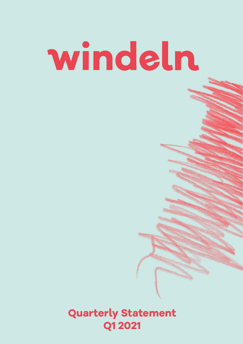# windeln

**Quarterly Statement Q1 2021**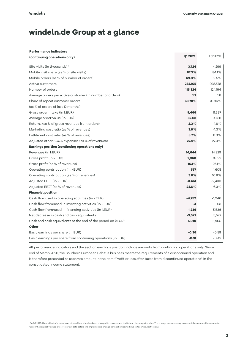# **windeln.de Group at a glance**

| <b>Performance indicators</b>                                |          |          |  |  |  |
|--------------------------------------------------------------|----------|----------|--|--|--|
| (continuing operations only)                                 | Q1 2021  | Q12020   |  |  |  |
| Site visits (in thousands) <sup>1</sup>                      | 3,724    | 4,299    |  |  |  |
| Mobile visit share (as % of site visits)                     | 87.3%    | 84.1%    |  |  |  |
| Mobile orders (as % of number of orders)                     | 69.0%    | 59.5%    |  |  |  |
| Active customers                                             | 282,105  | 298,578  |  |  |  |
| Number of orders                                             | 115,324  | 124,194  |  |  |  |
| Average orders per active customer (in number of orders)     | 1.7      | 1.8      |  |  |  |
| Share of repeat customer orders                              | 63.78%   | 70.96%   |  |  |  |
| (as % of orders of last 12 months)                           |          |          |  |  |  |
| Gross order intake (in kEUR)                                 | 9,466    | 11,597   |  |  |  |
| Average order value (in EUR)                                 | 82.08    | 93.38    |  |  |  |
| Returns (as % of gross revenues from orders)                 | 2.3%     | 4.6%     |  |  |  |
| Marketing cost ratio (as % of revenues)                      | 3.6%     | 4.3%     |  |  |  |
| Fulfilment cost ratio (as % of revenues)                     | 8.7%     | 11.0%    |  |  |  |
| Adjusted other SG&A expenses (as % of revenues)              | 27.4%    | 27.0%    |  |  |  |
| Earnings position (continuing operations only)               |          |          |  |  |  |
| Revenues (in kEUR)                                           | 14,644   | 14,929   |  |  |  |
| Gross profit (in kEUR)                                       | 2,360    | 3,892    |  |  |  |
| Gross profit (as % of revenues)                              | 16.1%    | 26.1%    |  |  |  |
| Operating contribution (in kEUR)                             | 557      | 1,605    |  |  |  |
| Operating contribution (as % of revenues)                    | 3.8%     | 10.8%    |  |  |  |
| Adjusted EBIT (in kEUR)                                      | $-3,461$ | $-2,430$ |  |  |  |
| Adjusted EBIT (as % of revenues)                             | $-23.6%$ | $-16.3%$ |  |  |  |
| <b>Financial position</b>                                    |          |          |  |  |  |
| Cash flow used in operating activities (in kEUR)             | $-4,759$ | $-1,946$ |  |  |  |
| Cash flow from/used in investing activities (in kEUR)        | -4       | -63      |  |  |  |
| Cash flow from/used in financing activities (in kEUR)        | 1,236    | 5,536    |  |  |  |
| Net decrease in cash and cash equivalents                    | $-3,527$ | 3,527    |  |  |  |
| Cash and cash equivalents at the end of the period (in kEUR) | 5,010    | 11,905   |  |  |  |
| Other                                                        |          |          |  |  |  |
| Basic earnings per share (in EUR)                            | $-0.36$  | $-0.59$  |  |  |  |
| Basic earnings per share from continuing operations (in EUR) | $-0.31$  | $-0.42$  |  |  |  |

All performance indicators and the section earnings position include amounts from continuing operations only. Since end of March 2020, the Southern European Bebitus business meets the requirements of a discontinued operation and is therefore presented as separate amount in the item "Profit or loss after taxes from discontinued operations" in the consolidated income statement.

 $^{\rm !}$  In Q3 2020, the method of measuring visits on Shop sites has been changed to now exclude traffic from the magazine sites. The change was necessary to accurately calculate the conversion rate on the respective shop sites. Historical data before the implemented change cannot be updated due to technical restrictions.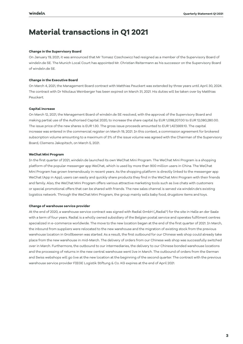# **Material transactions in Q1 2021**

## **Change in the Supervisory Board**

On January 19, 2021, it was announced that Mr Tomasz Czechowicz had resigned as a member of the Supervisory Board of windeln.de SE. The Munich Local Court has appointed Mr. Christian Reitermann as his successor on the Supervisory Board of windeln.de SE.

### **Change in the Executive Board**

On March 4, 2021, the Management Board contract with Matthias Peuckert was extended by three years until April 30, 2024. The contract with Dr Nikolaus Weinberger has been expired on March 31, 2021. His duties will be taken over by Matthias Peuckert.

### **Capital increase**

On March 12, 2021, the Management Board of windeln.de SE resolved, with the approval of the Supervisory Board and making partial use of the Authorised Capital 2020, to increase the share capital by EUR 1,098,207.00 to EUR 12,080,280.00. The issue price of the new shares is EUR 1.30. The gross issue proceeds amounted to EUR 1,427,669.10. The capital increase was entered in the commercial register on March 19, 2021. In this context, a commission agreement for brokered subscription volume amounting to a maximum of 3% of the issue volume was agreed with the Chairman of the Supervisory Board, Clemens Jakopitsch, on March 5, 2021.

### **WeChat Mini Program**

In the first quarter of 2021, windeln.de launched its own WeChat Mini Program. The WeChat Mini Program is a shopping platform of the popular messenger app WeChat, which is used by more than 900 million users in China. The WeChat Mini Program has grown tremendously in recent years. As the shopping platform is directly linked to the messenger app WeChat (App in App), users can easily and quickly share products they find in the WeChat Mini Program with their friends and family. Also, the WeChat Mini Program offers various attractive marketing tools such as live chats with customers or special promotional offers that can be shared with friends. The new sales channel is served via windeln.de's existing logistics network. Through the WeChat Mini Program, the group mainly sells baby food, drugstore items and toys.

### **Change of warehouse service provider**

At the end of 2020, a warehouse service contract was signed with Radial GmbH ("Radial") for the site in Halle an der Saale with a term of four years. Radial is a wholly owned subsidiary of the Belgian postal service and operates fulfilment centres specialized in e-commerce worldwide. The move to the new location began at the end of the first quarter of 2021. In March, the inbound from suppliers were relocated to the new warehouse and the migration of existing stock from the previous warehouse location in Großbeeren was started. As a result, the first outbound for our Chinese web shop could already take place from the new warehouse in mid-March. The delivery of orders from our Chinese web shop was successfully switched over in March. Furthermore, the outbound to our intermediaries, the delivery to our Chinese bonded warehouse locations and the processing of returns in the new central warehouse went live in March. The outbound of orders from the German and Swiss webshops will go live at the new location at the beginning of the second quarter. The contract with the previous warehouse service provider FIEGE Logistik Stiftung & Co. KG expires at the end of April 2021.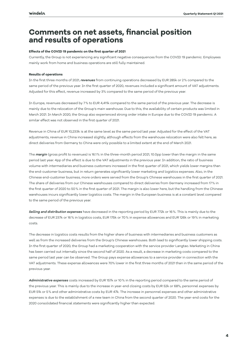# **Comments on net assets, financial position and results of operations**

# **Effects of the COVID 19 pandemic on the first quarter of 2021**

Currently, the Group is not experiencing any significant negative consequences from the COVID 19 pandemic. Employees mainly work from home and business operations are still fully maintained.

# **Results of operations**

In the first three months of 2021, *revenues* from continuing operations decreased by EUR 285k or 2% compared to the same period of the previous year. In the first quarter of 2020, revenues included a significant amount of VAT adjustments. Adjusted for this effect, revenue increased by 3% compared to the same period of the previous year.

In Europe, revenues decreased by 7% to EUR 4,411k compared to the same period of the previous year. The decrease is mainly due to the relocation of the Group's main warehouse. Due to this, the availability of certain products was limited in March 2021. In March 2020, the Group also experienced strong order intake in Europe due to the COVID 19 pandemic. A similar effect was not observed in the first quarter of 2021.

Revenue in China of EUR 10,233k is at the same level as the same period last year. Adjusted for the effect of the VAT adjustments, revenue in China increased slightly, although effects from the warehouse relocation were also felt here, as direct deliveries from Germany to China were only possible to a limited extent at the end of March 2021.

The *margin* (gross profit to revenues) is 16.1% in the three-month period 2021, 10.0pp lower than the margin in the same period last year. 4pp of the effect is due to the VAT adjustments in the previous year. In addition, the ratio of business volume with intermediaries and business customers increased in the first quarter of 2021, which yields lower margins than the end-customer business, but in return generates significantly lower marketing and logistics expenses. Also, in the Chinese end-customer business, more orders were served from the Group's Chinese warehouses in the first quarter of 2021. The share of deliveries from our Chinese warehouses compared to direct deliveries from Germany increased from 17% in the first quarter of 2020 to 50% in the first quarter of 2021. The margin is also lower here, but the handling from the Chinese warehouses incurs significantly lower logistics costs. The margin in the European business is at a constant level compared to the same period of the previous year.

*Selling and distribution expenses* have decreased in the reporting period by EUR 772k or 16%. This is mainly due to the decrease of EUR 237k or 16% in logistics costs, EUR 175k or 70% in expense allowances and EUR 126k or 19% in marketing costs.

The decrease in logistics costs results from the higher share of business with intermediaries and business customers as well as from the increased deliveries from the Group's Chinese warehouses. Both lead to significantly lower shipping costs. In the first quarter of 2020, the Group had a marketing cooperation with the service provider Langtao. Marketing in China has been carried out internally since the second half of 2020. As a result, a decrease in marketing costs compared to the same period last year can be observed. The Group pays expense allowances to a service provider in connection with the VAT adjustments. These expense allowances were 70% lower in the first three months of 2021 than in the same period of the previous year.

*Administrative expenses* costs increased by EUR 157k or 10% in the reporting period compared to the same period of the previous year. This is mainly due to the increase in year-end closing costs by EUR 52k or 68%, personnel expenses by EUR 51k or 5% and other administrative costs by EUR 47k. The increase in personnel expenses and other administrative expenses is due to the establishment of a new team in China from the second quarter of 2020. The year-end costs for the 2020 consolidated financial statements were significantly higher than expected.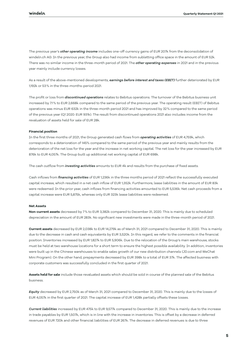The previous year's *other operating income* includes one-off currency gains of EUR 207k from the deconsolidation of windeln.ch AG. In the previous year, the Group also had income from subletting office space in the amount of EUR 52k. There was no similar income in the three-month period of 2021. The *other operating expenses* in 2021 and in the previous year mainly include currency losses.

As a result of the above-mentioned developments, *earnings before interest and taxes (EBIT)* further deteriorated by EUR 1,192k or 53% in the three-months-period 2021.

The profit or loss from *discontinued operations* relates to Bebitus operations. The turnover of the Bebitus business unit increased by 7.1% to EUR 2,668k compared to the same period of the previous year. The operating result (EBIT) of Bebitus operations was minus EUR 632k in the three-month period 2021 and has improved by 32% compared to the same period of the previous year (Q1 2020: EUR 931k). The result from discontinued operations 2021 also includes income from the revaluation of assets held for sale of EUR 28k.

### **Financial position**

In the first three months of 2021, the Group generated cash flows from *operating activities* of EUR 4,759k, which corresponds to a deterioration of 145% compared to the same period of the previous year and mainly results from the deterioration of the net loss for the year and the increase in net working capital. The net loss for the year increased by EUR 876k to EUR 4,057k. The Group built up additional net working capital of EUR 698k.

The cash outflow from *investing activities* amounts to EUR 4k and results from the purchase of fixed assets.

Cash inflows from *financing activities* of EUR 1,236k in the three months period of 2021 reflect the successfully executed capital increase, which resulted in a net cash inflow of EUR 1,352k. Furthermore, lease liabilities in the amount of EUR 83k were redeemed. In the prior year, cash inflows from financing activities amounted to EUR 5,536k. Net cash proceeds from a capital increase were EUR 5,875k, whereas only EUR 323k lease liabilities were redeemed.

### **Net Assets**

**Non-current assets** decreased by 7% to EUR 3,382k compared to December 31, 2020. This is mainly due to scheduled depreciation in the amount of EUR 283k. No significant new investments were made in the three-month period of 2021.

**Current assets** decreased by EUR 2,038k to EUR 14,279k as of March 31, 2021 compared to December 31, 2020. This is mainly due to the decrease in cash and cash equivalents by EUR 3,520k. In this regard, we refer to the comments in the financial position. Inventories increased by EUR 1,827k to EUR 5,906k. Due to the relocation of the Group's main warehouse, stocks must be held at two warehouse locations for a short term to ensure the highest possible availability. In addition, inventories were built up in the Chinese warehouses to enable sales growth of our new distribution channels (JD.com and WeChat Mini Program). On the other hand, prepayments decreased by EUR 398k to a total of EUR 37k. The affected business with corporate customers was successfully concluded in the first quarter of 2021.

**Assets held for sale** include those revaluated assets which should be sold in course of the planned sale of the Bebitus business.

*Equity* decreased by EUR 2,750k as of March 31, 2021 compared to December 31, 2020. This is mainly due to the losses of EUR 4,057k in the first quarter of 2021. The capital increase of EUR 1,428k partially offsets these losses.

*Current liabilities* increased by EUR 475k to EUR 9,577k compared to December 31, 2020. This is mainly due to the increase in trade payables by EUR 1,507k, which is in line with the increase in inventories. This is offset by a decrease in deferred revenues of EUR 720k and other financial liabilities of EUR 267k. The decrease in deferred revenues is due to three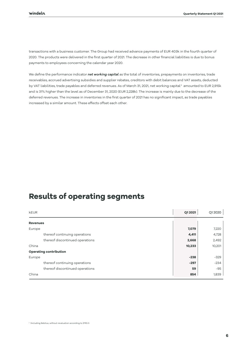transactions with a business customer. The Group had received advance payments of EUR 403k in the fourth quarter of 2020. The products were delivered in the first quarter of 2021. The decrease in other financial liabilities is due to bonus payments to employees concerning the calendar year 2020.

We define the performance indicator *net working capital* as the total of inventories, prepayments on inventories, trade receivables, accrued advertising subsidies and supplier rebates, creditors with debit balances and VAT assets, deducted by VAT liabilities, trade payables and deferred revenues. As of March 31, 2021, net working capital $^2$  amounted to EUR 2,915k and is 31% higher than the level as of December 31, 2020 (EUR 2,228k). The increase is mainly due to the decrease of the deferred revenues. The increase in inventories in the first quarter of 2021 has no significant impact, as trade payables increased by a similar amount. These effects offset each other.

# **Results of operating segments**

| <b>kEUR</b>                     | Q1 2021 | Q1 2020 |
|---------------------------------|---------|---------|
| <b>Revenues</b>                 |         |         |
| Europe                          | 7,079   | 7,220   |
| thereof continuing operations   | 4,411   | 4,728   |
| thereof discontinued operations | 2,668   | 2,492   |
| China                           | 10,233  | 10,201  |
| <b>Operating contribution</b>   |         |         |
| Europe                          | $-238$  | $-329$  |
| thereof continuing operations   | $-297$  | $-234$  |
| thereof discontinued operations | 59      | $-95$   |
| China                           | 854     | 1,839   |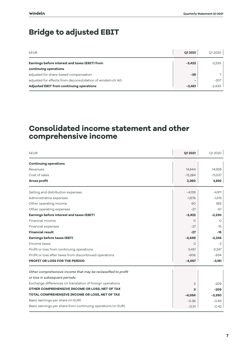# **Bridge to adjusted EBIT**

| <b>kEUR</b>                                                | Q1 2021  | Q1 20 20 |
|------------------------------------------------------------|----------|----------|
| Earnings before interest and taxes (EBIT) from             | $-3.422$ | $-2,230$ |
| continuing operations                                      |          |          |
| adjusted for share-based compensation                      | $-39$    |          |
| adjusted for effects from deconsolidation of windeln.ch AG |          | $-207$   |
| <b>Adjusted EBIT from continuing operations</b>            | $-3.461$ | $-2.430$ |

# **Consolidated income statement and other comprehensive income**

| kEUR                                                          | Q1 2021   | Q1 2020   |
|---------------------------------------------------------------|-----------|-----------|
| <b>Continuing operations</b>                                  |           |           |
| Revenues                                                      | 14,644    | 14,929    |
| Cost of sales                                                 | $-12,284$ | $-11,037$ |
| <b>Gross profit</b>                                           | 2,360     | 3,892     |
| Selling and distribution expenses                             | $-4,139$  | $-4,911$  |
| Administrative expenses                                       | $-1,676$  | $-1,519$  |
| Other operating income                                        | 60        | 365       |
| Other operating expenses                                      | $-27$     | $-57$     |
| Earnings before interest and taxes (EBIT)                     | $-3,422$  | $-2,230$  |
| Financial income                                              | O         | Ο         |
| Financial expenses                                            | $-27$     | $-15$     |
| <b>Financial result</b>                                       | $-27$     | $-15$     |
| <b>Earnings before taxes (EBT)</b>                            | $-3,449$  | $-2,245$  |
| Income taxes                                                  | $-2$      | $-2$      |
| Profit or loss from continuing operations                     | 3,451     | $-2,247$  |
| Profit or loss after taxes from discontinued operations       | $-606$    | $-934$    |
| <b>PROFIT OR LOSS FOR THE PERIOD</b>                          | $-4,057$  | $-3,181$  |
| Other comprehensive income that may be reclassified to profit |           |           |
| or loss in subsequent periods:                                |           |           |
| Exchange differences on translation of foreign operations     | 3         | $-209$    |
| OTHER COMPREHENSIVE INCOME OR LOSS, NET OF TAX                | з         | $-209$    |
| TOTAL COMPREHENSIVE INCOME OR LOSS, NET OF TAX                | $-4,054$  | $-3,390$  |
| Basic earnings per share (in EUR)                             | $-0.36$   | $-0.59$   |
| Basic earnings per share from continuing operations (in EUR)  | $-0.31$   | $-0.42$   |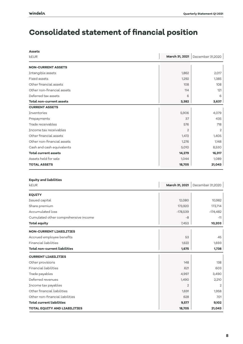# **Consolidated statement of financial position**

| <b>Assets</b>                   |                |                                   |
|---------------------------------|----------------|-----------------------------------|
| kEUR                            |                | March 31, 2021   December 31,2020 |
| <b>NON-CURRENT ASSETS</b>       |                |                                   |
| Intangible assets               | 1,862          | 2,017                             |
| <b>Fixed assets</b>             | 1,292          | 1,385                             |
| Other financial assets          | 108            | 108                               |
| Other non-financial assets      | 114            | 121                               |
| Deferred tax assets             | 6              | 6                                 |
| <b>Total non-current assets</b> | 3,382          | 3,637                             |
| <b>CURRENT ASSETS</b>           |                |                                   |
| <b>Inventories</b>              | 5,906          | 4,079                             |
| Prepayments                     | 37             | 435                               |
| Trade receivables               | 576            | 718                               |
| Income tax receivables          | $\overline{2}$ |                                   |
| Other financial assets          | 1,472          | 1,405                             |
| Other non-financial assets      | 1,276          | 1,148                             |
| Cash and cash equivalents       | 5,010          | 8,530                             |
| <b>Total current assets</b>     | 14,279         | 16,317                            |
| Assets held for sale            | 1,044          | 1,089                             |
|                                 |                |                                   |

### **Equity and liabilities**

| kEUR                                 | <b>March 31, 2021</b> | December 31,2020 |
|--------------------------------------|-----------------------|------------------|
| <b>EQUITY</b>                        |                       |                  |
| Issued capital                       | 12,080                | 10,982           |
| Share premium                        | 173,920               | 173,714          |
| Accumulated loss                     | $-178,539$            | $-174,482$       |
| Cumulated other comprehensive income | $-8$                  | $-11$            |
| <b>Total equity</b>                  | 7,453                 | 10,203           |
| <b>NON-CURRENT LIABILITIES</b>       |                       |                  |
| Accrued employee benefits            | 53                    | 45               |
| Financial liabilities                | 1,622                 | 1,693            |
| <b>Total non-current liabilities</b> | 1,675                 | 1,738            |
| <b>CURRENT LIABILITIES</b>           |                       |                  |
| Other provisions                     | 148                   | 138              |
| Financial liabilities                | 621                   | 603              |
| Trade payables                       | 4,997                 | 3,490            |
| Deferred revenues                    | 1,490                 | 2,210            |
| Income tax payables                  | 2                     | 2                |
| Other financial liabilities          | 1,691                 | 1,958            |
| Other non-financial liabilities      | 628                   | 701              |
| <b>Total current liabilities</b>     | 9,577                 | 9,102            |
| <b>TOTAL EQUITY AND LIABILITIES</b>  | 18,705                | 21,043           |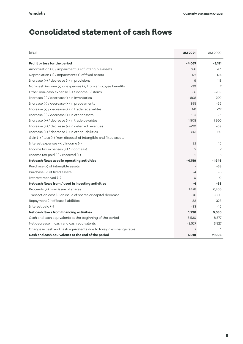# **Consolidated statement of cash flows**

| kEUR                                                              | 3M 2021  | 3M 2020  |
|-------------------------------------------------------------------|----------|----------|
| Profit or loss for the period                                     | $-4,057$ | $-3,181$ |
| Amortization (+) / impairment (+) of intangible assets            | 156      | 261      |
| Depreciation (+) / impairment (+) of fixed assets                 | 127      | 174      |
| Increase (+) / decrease (-) in provisions                         | 9        | 118      |
| Non-cash income (-) or expenses (+) from employee benefits        | $-39$    | 7        |
| Other non-cash expense (+) / income (-) items                     | 35       | $-209$   |
| Increase (-) / decrease (+) in inventories                        | $-1,808$ | $-790$   |
| Increase (-) / decrease (+) in prepayments                        | 395      | -66      |
| Increase (-) / decrease (+) in trade receivables                  | 141      | $-22$    |
| Increase (-) / decrease (+) in other assets                       | $-187$   | 351      |
| Increase (+) / decrease (-) in trade payables                     | 1,508    | 1,560    |
| Increase (+) / decrease (-) in deferred revenues                  | $-720$   | $-59$    |
| Increase (+) / decrease (-) in other liabilities                  | $-351$   | $-110$   |
| Gain (-) / loss (+) from disposal of intangible and fixed assets  |          | $-1$     |
| Interest expenses (+) / income (-)                                | 32       | 16       |
| Income tax expenses (+) / income (-)                              | 2        | 2        |
| Income tax paid (-) / received (+)                                | $-2$     | 3        |
| Net cash flows used in operating activities                       | $-4,759$ | $-1.946$ |
| Purchase (-) of intangible assets                                 |          | $-58$    |
| Purchase (-) of fixed assets                                      | $-4$     | $-5$     |
| Interest received (+)                                             | $\circ$  | 0        |
| Net cash flows from / used in investing activities                | $-4$     | -63      |
| Proceeds (+) from issue of shares                                 | 1,428    | 6,205    |
| Transaction cost (-) on issue of shares or capital decrease       | $-76$    | $-330$   |
| Repayment (-) of lease liabilities                                | $-83$    | $-323$   |
| Interest paid (-)                                                 | $-33$    | $-16$    |
| Net cash flows from financing activities                          | 1,236    | 5,536    |
| Cash and cash equivalents at the beginning of the period          | 8,530    | 8,377    |
| Net decrease in cash and cash equivalents                         | $-3,527$ | 3,527    |
| Change in cash and cash equivalents due to foreign exchange rates | 7        |          |
| Cash and cash equivalents at the end of the period                | 5,010    | 11,905   |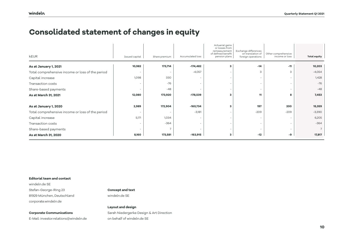# **Consolidated statement of changes in equity**

| <b>kEUR</b>                                      | Issued capital           | Share premium | Accumulated loss         | Actuarial gains<br>or losses from<br>remeasurement<br>of defined benefit<br>pension plans | Exchange differences<br>on translation of<br>foreign operations | Other comprehensive<br>income or loss | <b>Total equity</b> |
|--------------------------------------------------|--------------------------|---------------|--------------------------|-------------------------------------------------------------------------------------------|-----------------------------------------------------------------|---------------------------------------|---------------------|
| As at January 1, 2021                            | 10,982                   | 173,714       | $-174,482$               | 3                                                                                         | $-14$                                                           | $-11$                                 | 10,203              |
| Total comprehensive income or loss of the period | $\overline{\phantom{0}}$ |               | $-4,057$                 |                                                                                           | 3                                                               | 3                                     | $-4,054$            |
| Capital increase                                 | 1,098                    | 330           | $\overline{\phantom{a}}$ |                                                                                           | $\overline{\phantom{a}}$                                        | $\overline{\phantom{a}}$              | 1,428               |
| Transaction costs                                |                          | $-76$         |                          |                                                                                           | $\overline{\phantom{a}}$                                        | $\overline{\phantom{0}}$              | $-76$               |
| Share-based payments                             | $\overline{\phantom{a}}$ | $-48$         | $\overline{\phantom{a}}$ |                                                                                           | $\overline{\phantom{a}}$                                        | $\overline{\phantom{a}}$              | $-48$               |
| As at March 31, 2021                             | 12,080                   | 173,920       | $-178,539$               | з                                                                                         | 11                                                              | 8                                     | 7,453               |
|                                                  |                          |               |                          |                                                                                           |                                                                 |                                       |                     |
| As at January 1, 2020                            | 2,989                    | 172,904       | $-160,734$               | з                                                                                         | 197                                                             | 200                                   | 15,359              |
| Total comprehensive income or loss of the period | $\overline{\phantom{0}}$ |               | $-3,181$                 |                                                                                           | $-209$                                                          | $-209$                                | $-3,390$            |
| Capital increase                                 | 5,171                    | 1,034         |                          |                                                                                           | $\overline{\phantom{a}}$                                        | $\overline{\phantom{a}}$              | 6,205               |
| <b>Transaction costs</b>                         | $\overline{\phantom{0}}$ | $-364$        | $\overline{\phantom{0}}$ |                                                                                           | $\overline{\phantom{a}}$                                        | $\overline{\phantom{a}}$              | $-364$              |
| Share-based payments                             | $\overline{\phantom{0}}$ |               |                          |                                                                                           | $\overline{\phantom{a}}$                                        |                                       |                     |
| As at March 31, 2020                             | 8,160                    | 173,581       | $-163,915$               | 3                                                                                         | $-12$                                                           | -9                                    | 17,817              |

### **Editorial team and contact**

windeln.de SE Stefan-George-Ring 23 81929 München, Deutschland corporate.windeln.de

**Corporate Communications** 

E-Mail: investor.relations@windeln.de

### **Concept and text**

windeln.de SE

# **Layout and design**

Sarah Niedergerke Design & Art Direction on behalf of windeln.de SE